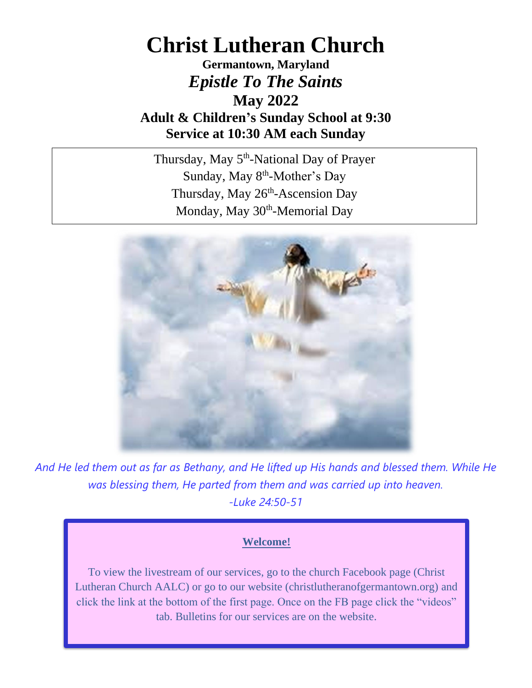## **Christ Lutheran Church**

**Germantown, Maryland** *Epistle To The Saints* **May 2022 Adult & Children's Sunday School at 9:30 Service at 10:30 AM each Sunday**

Thursday, May 5<sup>th</sup>-National Day of Prayer Sunday, May 8<sup>th</sup>-Mother's Day Thursday, May 26<sup>th</sup>-Ascension Day Monday, May 30<sup>th</sup>-Memorial Day



*And He led them out as far as Bethany, and He lifted up His hands and blessed them. While He was blessing them, He parted from them and was carried up into heaven. -Luke 24:50-51*

#### **Welcome!**

To view the livestream of our services, go to the church Facebook page (Christ Lutheran Church AALC) or go to our website (christlutheranofgermantown.org) and click the link at the bottom of the first page. Once on the FB page click the "videos" tab. Bulletins for our services are on the website.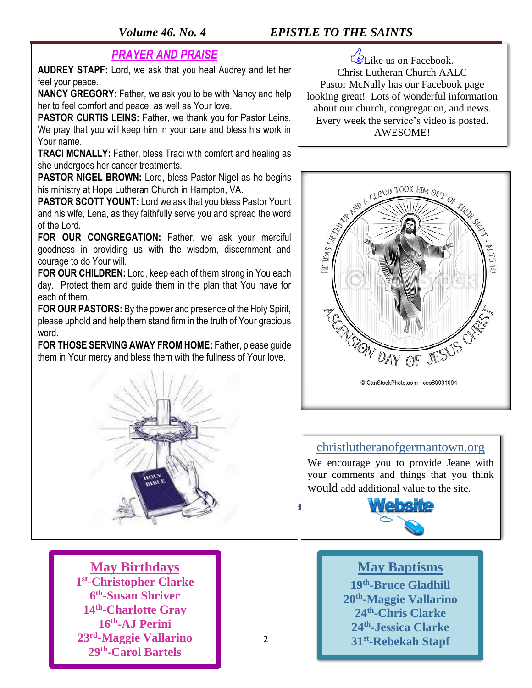### *Volume 46. No. 4 EPISTLE TO THE SAINTS*

#### *PRAYER AND PRAISE*

**AUDREY STAPF:** Lord, we ask that you heal Audrey and let her feel your peace.

**NANCY GREGORY:** Father, we ask you to be with Nancy and help her to feel comfort and peace, as well as Your love.

**PASTOR CURTIS LEINS:** Father, we thank you for Pastor Leins. We pray that you will keep him in your care and bless his work in Your name.

**TRACI MCNALLY:** Father, bless Traci with comfort and healing as she undergoes her cancer treatments.

**PASTOR NIGEL BROWN:** Lord, bless Pastor Nigel as he begins his ministry at Hope Lutheran Church in Hampton, VA.

**PASTOR SCOTT YOUNT:** Lord we ask that you bless Pastor Yount and his wife, Lena, as they faithfully serve you and spread the word of the Lord.

**FOR OUR CONGREGATION:** Father, we ask your merciful goodness in providing us with the wisdom, discernment and courage to do Your will.

**FOR OUR CHILDREN:** Lord, keep each of them strong in You each day. Protect them and guide them in the plan that You have for each of them.

**FOR OUR PASTORS:** By the power and presence of the Holy Spirit, please uphold and help them stand firm in the truth of Your gracious word.

**FOR THOSE SERVING AWAY FROM HOME:** Father, please guide them in Your mercy and bless them with the fullness of Your love.



**May Birthdays st -Christopher Clarke th -Susan Shriver th -Charlotte Gray th -AJ Perini rd -Maggie Vallarino th -Carol Bartels**

Like us on Facebook. Christ Lutheran Church AALC Pastor McNally has our Facebook page looking great! Lots of wonderful information about our church, congregation, and news. Every week the service's video is posted. AWESOME!



### christlutheranofgermantown.org

We encourage you to provide Jeane with your comments and things that you think would add additional value to the site.



#### **May Baptisms**

**th -Bruce Gladhill th -Maggie Vallarino th -Chris Clarke th -Jessica Clarke st -Rebekah Stapf**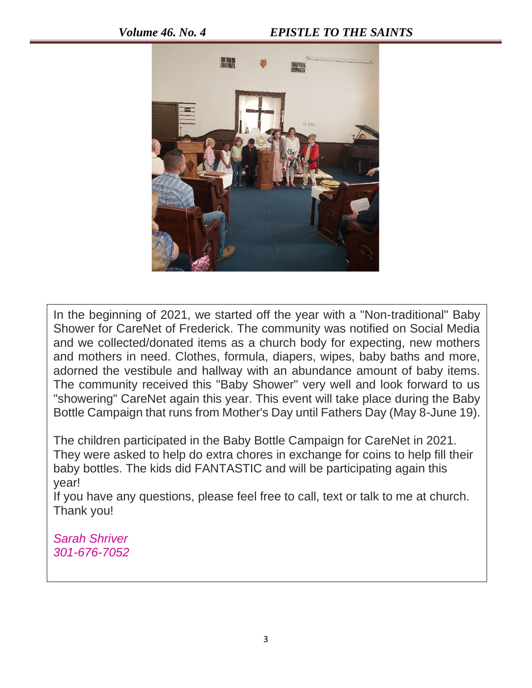

In the beginning of 2021, we started off the year with a "Non-traditional" Baby Shower for CareNet of Frederick. The community was notified on Social Media and we collected/donated items as a church body for expecting, new mothers and mothers in need. Clothes, formula, diapers, wipes, baby baths and more, adorned the vestibule and hallway with an abundance amount of baby items. The community received this "Baby Shower" very well and look forward to us "showering" CareNet again this year. This event will take place during the Baby Bottle Campaign that runs from Mother's Day until Fathers Day (May 8-June 19).

The children participated in the Baby Bottle Campaign for CareNet in 2021. They were asked to help do extra chores in exchange for coins to help fill their baby bottles. The kids did FANTASTIC and will be participating again this year!

If you have any questions, please feel free to call, text or talk to me at church. Thank you!

*Sarah Shriver 301-676-7052*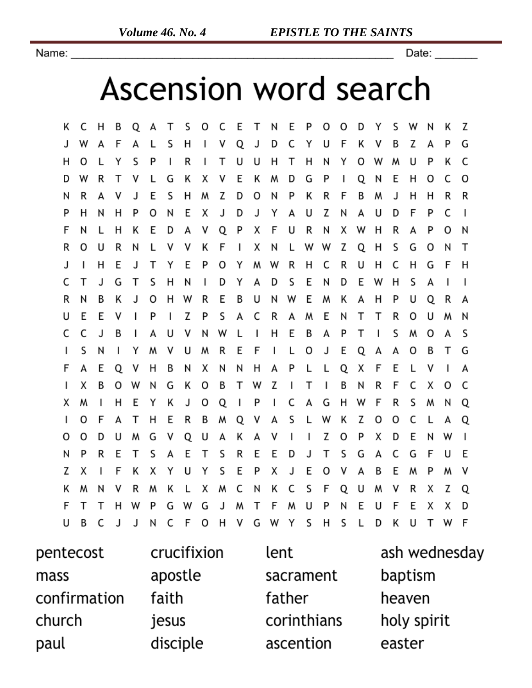Name:

Date:  $\rule{1em}{0.15mm}$ 

# Ascension word search

Κ C H В Q А Т S O C Ε Т N Ε P O O D Υ S W Ν Κ Z S J С F Z P G J W F A L н ٧ Q D Υ U Κ ٧ В А А  $\mathsf{l}$ н O L Υ S P I R  $\mathsf{I}$ Τ U U н Т Н N Υ o W W U P Κ С D W R т ٧ L G Κ х ٧ Ε Κ м D G P I Q N Ε н O С O R E S Н W Z D 0 P Κ R F Β R R ٧ J Ν M J н Н N А Z C  $\overline{1}$ P 0 N Ε Χ J D Y A U N U D F P P H N H J А Q P F R R F Ν L Κ Ε D А ۷ х U N Х W H А P o N н R O U R N L ٧ ٧ Κ F  $\mathbf{I}$ Х N L W W Z Q H S G O N Т н Ε Т Υ E P R н C R H C F Η J  $\mathsf{I}$ J O Υ M W U н G C Т Τ S Н S Ε N J G N  $\mathsf{I}$ D Y А D D Ε W н S А I I Ε R N B Κ J o H W R Ε Β U N W M Κ А H P U Q R А Ε Ε P Z P S C R W Ε U ۷ I  $\mathbf{I}$ А А N Т Т R O U M N C c J В I А U ٧ N W L I н Ε В А P Т  $\mathbf{I}$ S м Ο А S S Υ E E T G м ٧ U м R F I L Ο J Q А А O В  $\mathsf{I}$ N  $\mathbf{I}$ F А Ε Q ٧ Η Β Ν Χ N N H А P L L Q Χ F E L ٧ I A B O В т Z  $\mathsf I$ Τ  $\overline{\phantom{a}}$ Β Ν R F С Χ O C  $\mathbf{I}$ х 0 W N G Κ W O  $\mathsf{I}$ P С F R S Q X M  $\mathbf{I}$ н Ε Y Κ J Q T А G н W м N  $\mathbf{I}$ O F А т н Ε R В м Q ٧ А S L W Κ Z o o C L А Q м G ٧ Q U Κ I  $\mathsf{I}$ Z Ο P х D Ε W  $\mathsf{I}$ 0 0 D U А А ۷ N Ε S Ε S R D C Ε N P R Т А Т Ε Ε J Т S G А G F U F Ε E Ε ٧ Z Х Κ х Y U Υ S P Χ J O ٧ А В M P м  $\mathbf{I}$ Κ м ٧ R м Κ L Х м С N Κ С S F Q U M ۷ R Χ Z Q N F Т т W P G W G J W т F W U P Ν Ε U F Ε Χ Х D н B C С H G S S D т F U J J N F 0 ۷ W Y H L Κ U w

| pentecost    | crucifixion | lent        | ash wednesday |
|--------------|-------------|-------------|---------------|
| mass         | apostle     | sacrament   | baptism       |
| confirmation | faith       | father      | heaven        |
| church       | jesus       | corinthians | holy spirit   |
| paul         | disciple    | ascention   | easter        |